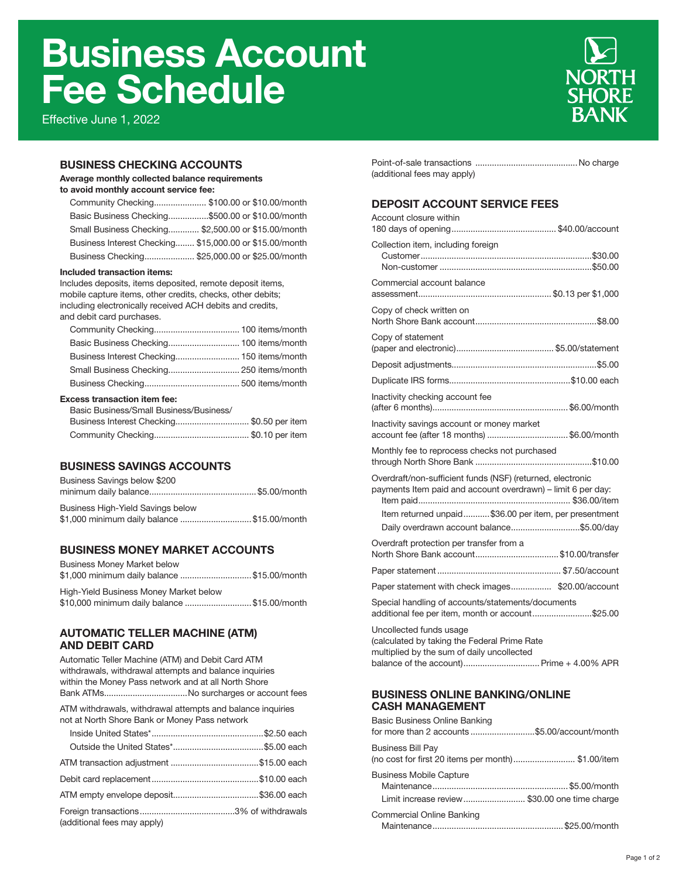# Business Account Fee Schedule

Effective June 1, 2022



## BUSINESS CHECKING ACCOUNTS

#### Average monthly collected balance requirements

to avoid monthly account service fee:

| Community Checking \$100.00 or \$10.00/month            |  |
|---------------------------------------------------------|--|
| Basic Business Checking\$500.00 or \$10.00/month        |  |
| Small Business Checking \$2,500.00 or \$15.00/month     |  |
| Business Interest Checking \$15,000.00 or \$15.00/month |  |
| Business Checking \$25,000.00 or \$25.00/month          |  |

#### Included transaction items:

Includes deposits, items deposited, remote deposit items, mobile capture items, other credits, checks, other debits; including electronically received ACH debits and credits,

and debit card purchases.

#### Excess transaction item fee:

| Basic Business/Small Business/Business/   |  |
|-------------------------------------------|--|
| Business Interest Checking\$0.50 per item |  |
|                                           |  |

## BUSINESS SAVINGS ACCOUNTS

| Business Savings below \$200                |  |
|---------------------------------------------|--|
|                                             |  |
| Business High-Yield Savings below           |  |
| \$1,000 minimum daily balance \$15.00/month |  |

## BUSINESS MONEY MARKET ACCOUNTS

| <b>Business Money Market below</b>                                                    |  |
|---------------------------------------------------------------------------------------|--|
| \$1,000 minimum daily balance \$15.00/month<br>High-Yield Business Money Market below |  |
| \$10,000 minimum daily balance  \$15.00/month                                         |  |

#### AUTOMATIC TELLER MACHINE (ATM) AND DEBIT CARD

Automatic Teller Machine (ATM) and Debit Card ATM withdrawals, withdrawal attempts and balance inquiries within the Money Pass network and at all North Shore Bank ATMs...................................No surcharges or account fees

ATM withdrawals, withdrawal attempts and balance inquiries not at North Shore Bank or Money Pass network

| (additional fees may apply) |  |
|-----------------------------|--|

| (additional fees may apply) |  |
|-----------------------------|--|

# DEPOSIT ACCOUNT SERVICE FEES

| Account closure within                                                                                                                                                                                                           |
|----------------------------------------------------------------------------------------------------------------------------------------------------------------------------------------------------------------------------------|
| Collection item, including foreign                                                                                                                                                                                               |
| Commercial account balance                                                                                                                                                                                                       |
| Copy of check written on                                                                                                                                                                                                         |
| Copy of statement                                                                                                                                                                                                                |
|                                                                                                                                                                                                                                  |
|                                                                                                                                                                                                                                  |
| Inactivity checking account fee                                                                                                                                                                                                  |
| Inactivity savings account or money market<br>account fee (after 18 months) \$6.00/month                                                                                                                                         |
| Monthly fee to reprocess checks not purchased                                                                                                                                                                                    |
| Overdraft/non-sufficient funds (NSF) (returned, electronic<br>payments Item paid and account overdrawn) - limit 6 per day:<br>Item returned unpaid\$36.00 per item, per presentment<br>Daily overdrawn account balance\$5.00/day |
| Overdraft protection per transfer from a<br>North Shore Bank account\$10.00/transfer                                                                                                                                             |
|                                                                                                                                                                                                                                  |
| Paper statement with check images \$20.00/account                                                                                                                                                                                |
| Special handling of accounts/statements/documents<br>additional fee per item, month or account\$25.00                                                                                                                            |
| Uncollected funds usage<br>(calculated by taking the Federal Prime Rate<br>multiplied by the sum of daily uncollected                                                                                                            |

#### BUSINESS ONLINE BANKING/ONLINE CASH MANAGEMENT

| Basic Business Online Banking<br>for more than 2 accounts \$5.00/account/month  |  |
|---------------------------------------------------------------------------------|--|
| <b>Business Bill Pay</b><br>(no cost for first 20 items per month)\$1.00/item   |  |
| <b>Business Mobile Capture</b><br>Limit increase review \$30.00 one time charge |  |
| Commercial Online Banking                                                       |  |